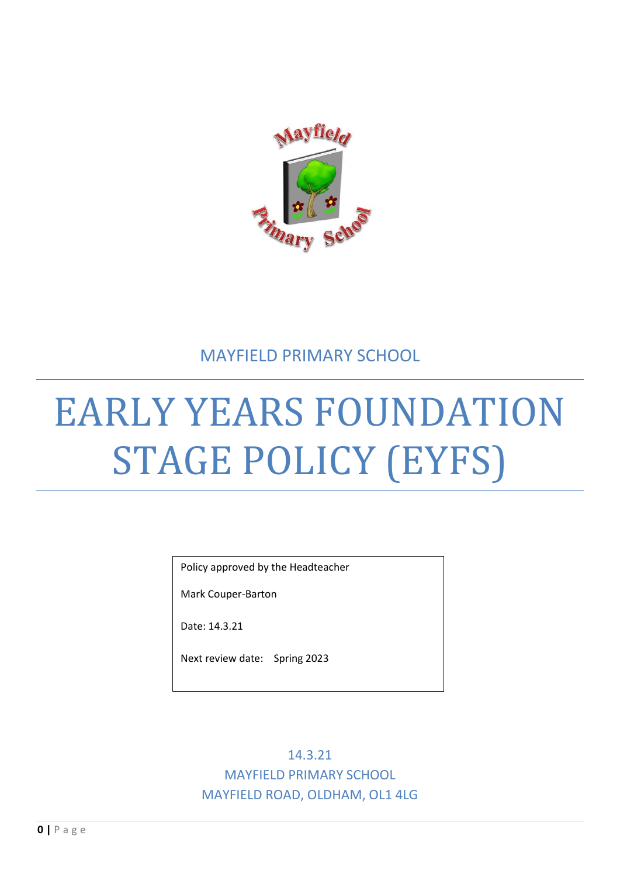

# MAYFIELD PRIMARY SCHOOL

# EARLY YEARS FOUNDATION STAGE POLICY (EYFS)

Policy approved by the Headteacher

Mark Couper-Barton

Date: 14.3.21

Next review date: Spring 2023

14.3.21 MAYFIELD PRIMARY SCHOOL MAYFIELD ROAD, OLDHAM, OL1 4LG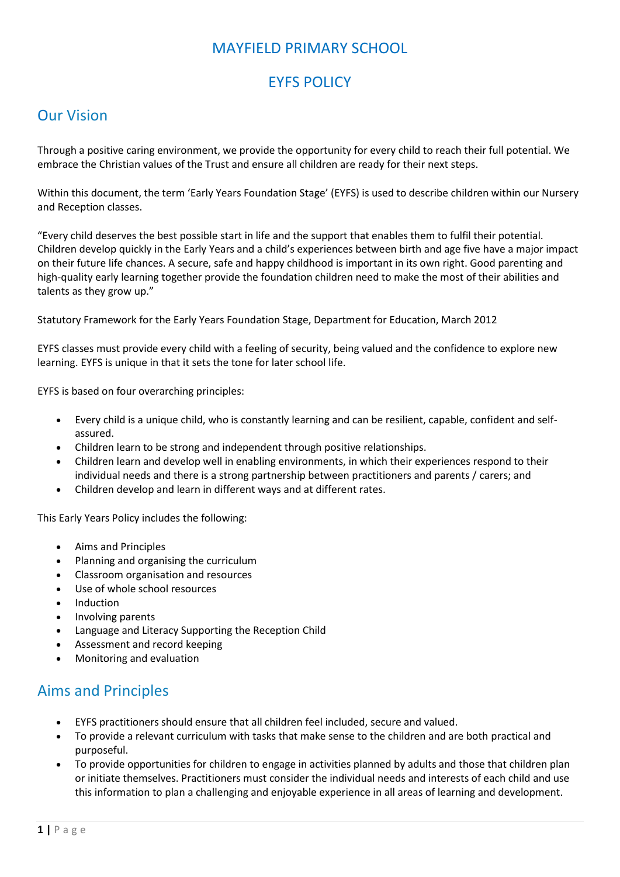## MAYFIELD PRIMARY SCHOOL

# EYFS POLICY

#### Our Vision

Through a positive caring environment, we provide the opportunity for every child to reach their full potential. We embrace the Christian values of the Trust and ensure all children are ready for their next steps.

Within this document, the term 'Early Years Foundation Stage' (EYFS) is used to describe children within our Nursery and Reception classes.

"Every child deserves the best possible start in life and the support that enables them to fulfil their potential. Children develop quickly in the Early Years and a child's experiences between birth and age five have a major impact on their future life chances. A secure, safe and happy childhood is important in its own right. Good parenting and high-quality early learning together provide the foundation children need to make the most of their abilities and talents as they grow up."

Statutory Framework for the Early Years Foundation Stage, Department for Education, March 2012

EYFS classes must provide every child with a feeling of security, being valued and the confidence to explore new learning. EYFS is unique in that it sets the tone for later school life.

EYFS is based on four overarching principles:

- Every child is a unique child, who is constantly learning and can be resilient, capable, confident and selfassured.
- Children learn to be strong and independent through positive relationships.
- Children learn and develop well in enabling environments, in which their experiences respond to their individual needs and there is a strong partnership between practitioners and parents / carers; and
- Children develop and learn in different ways and at different rates.

This Early Years Policy includes the following:

- Aims and Principles
- Planning and organising the curriculum
- Classroom organisation and resources
- Use of whole school resources
- Induction
- Involving parents
- Language and Literacy Supporting the Reception Child
- Assessment and record keeping
- Monitoring and evaluation

#### Aims and Principles

- EYFS practitioners should ensure that all children feel included, secure and valued.
- To provide a relevant curriculum with tasks that make sense to the children and are both practical and purposeful.
- To provide opportunities for children to engage in activities planned by adults and those that children plan or initiate themselves. Practitioners must consider the individual needs and interests of each child and use this information to plan a challenging and enjoyable experience in all areas of learning and development.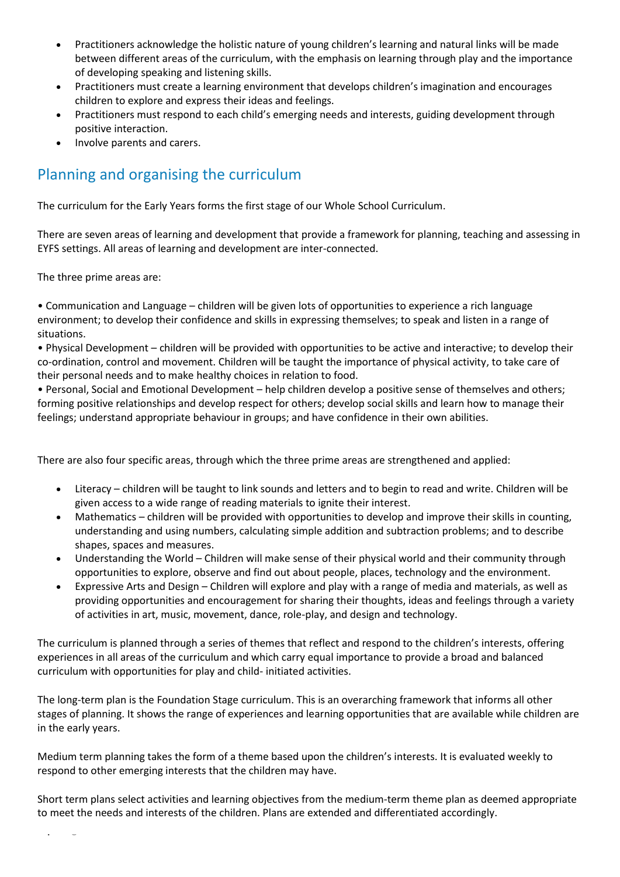- Practitioners acknowledge the holistic nature of young children's learning and natural links will be made between different areas of the curriculum, with the emphasis on learning through play and the importance of developing speaking and listening skills.
- Practitioners must create a learning environment that develops children's imagination and encourages children to explore and express their ideas and feelings.
- Practitioners must respond to each child's emerging needs and interests, guiding development through positive interaction.
- Involve parents and carers.

# Planning and organising the curriculum

The curriculum for the Early Years forms the first stage of our Whole School Curriculum.

There are seven areas of learning and development that provide a framework for planning, teaching and assessing in EYFS settings. All areas of learning and development are inter-connected.

The three prime areas are:

**2 |** P a g e

• Communication and Language – children will be given lots of opportunities to experience a rich language environment; to develop their confidence and skills in expressing themselves; to speak and listen in a range of situations.

• Physical Development – children will be provided with opportunities to be active and interactive; to develop their co-ordination, control and movement. Children will be taught the importance of physical activity, to take care of their personal needs and to make healthy choices in relation to food.

• Personal, Social and Emotional Development – help children develop a positive sense of themselves and others; forming positive relationships and develop respect for others; develop social skills and learn how to manage their feelings; understand appropriate behaviour in groups; and have confidence in their own abilities.

There are also four specific areas, through which the three prime areas are strengthened and applied:

- Literacy children will be taught to link sounds and letters and to begin to read and write. Children will be given access to a wide range of reading materials to ignite their interest.
- Mathematics children will be provided with opportunities to develop and improve their skills in counting, understanding and using numbers, calculating simple addition and subtraction problems; and to describe shapes, spaces and measures.
- Understanding the World Children will make sense of their physical world and their community through opportunities to explore, observe and find out about people, places, technology and the environment.
- Expressive Arts and Design Children will explore and play with a range of media and materials, as well as providing opportunities and encouragement for sharing their thoughts, ideas and feelings through a variety of activities in art, music, movement, dance, role-play, and design and technology.

The curriculum is planned through a series of themes that reflect and respond to the children's interests, offering experiences in all areas of the curriculum and which carry equal importance to provide a broad and balanced curriculum with opportunities for play and child- initiated activities.

The long-term plan is the Foundation Stage curriculum. This is an overarching framework that informs all other stages of planning. It shows the range of experiences and learning opportunities that are available while children are in the early years.

Medium term planning takes the form of a theme based upon the children's interests. It is evaluated weekly to respond to other emerging interests that the children may have.

Short term plans select activities and learning objectives from the medium-term theme plan as deemed appropriate to meet the needs and interests of the children. Plans are extended and differentiated accordingly.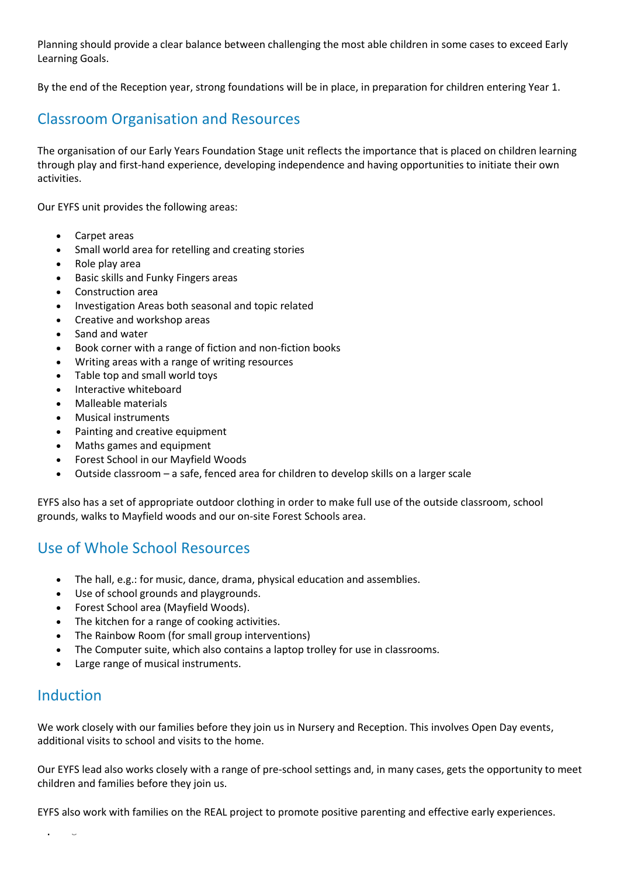Planning should provide a clear balance between challenging the most able children in some cases to exceed Early Learning Goals.

By the end of the Reception year, strong foundations will be in place, in preparation for children entering Year 1.

# Classroom Organisation and Resources

The organisation of our Early Years Foundation Stage unit reflects the importance that is placed on children learning through play and first-hand experience, developing independence and having opportunities to initiate their own activities.

Our EYFS unit provides the following areas:

- Carpet areas
- Small world area for retelling and creating stories
- Role play area
- Basic skills and Funky Fingers areas
- Construction area
- Investigation Areas both seasonal and topic related
- Creative and workshop areas
- Sand and water
- Book corner with a range of fiction and non-fiction books
- Writing areas with a range of writing resources
- Table top and small world toys
- Interactive whiteboard
- Malleable materials
- Musical instruments
- Painting and creative equipment
- Maths games and equipment
- Forest School in our Mayfield Woods
- Outside classroom a safe, fenced area for children to develop skills on a larger scale

EYFS also has a set of appropriate outdoor clothing in order to make full use of the outside classroom, school grounds, walks to Mayfield woods and our on-site Forest Schools area.

#### Use of Whole School Resources

- The hall, e.g.: for music, dance, drama, physical education and assemblies.
- Use of school grounds and playgrounds.
- Forest School area (Mayfield Woods).
- The kitchen for a range of cooking activities.
- The Rainbow Room (for small group interventions)
- The Computer suite, which also contains a laptop trolley for use in classrooms.
- Large range of musical instruments.

#### Induction

We work closely with our families before they join us in Nursery and Reception. This involves Open Day events, additional visits to school and visits to the home.

Our EYFS lead also works closely with a range of pre-school settings and, in many cases, gets the opportunity to meet children and families before they join us.

EYFS also work with families on the REAL project to promote positive parenting and effective early experiences.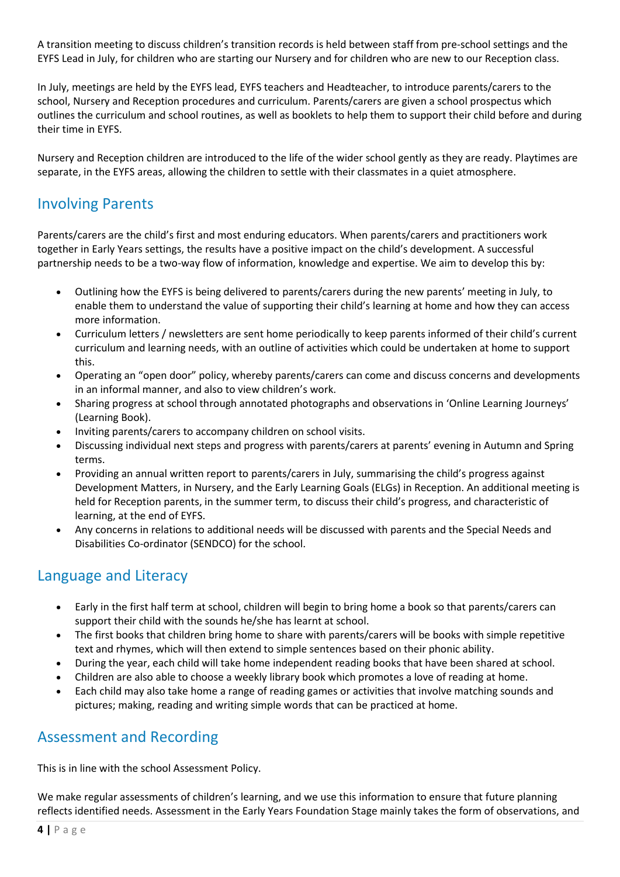A transition meeting to discuss children's transition records is held between staff from pre-school settings and the EYFS Lead in July, for children who are starting our Nursery and for children who are new to our Reception class.

In July, meetings are held by the EYFS lead, EYFS teachers and Headteacher, to introduce parents/carers to the school, Nursery and Reception procedures and curriculum. Parents/carers are given a school prospectus which outlines the curriculum and school routines, as well as booklets to help them to support their child before and during their time in EYFS.

Nursery and Reception children are introduced to the life of the wider school gently as they are ready. Playtimes are separate, in the EYFS areas, allowing the children to settle with their classmates in a quiet atmosphere.

### Involving Parents

Parents/carers are the child's first and most enduring educators. When parents/carers and practitioners work together in Early Years settings, the results have a positive impact on the child's development. A successful partnership needs to be a two-way flow of information, knowledge and expertise. We aim to develop this by:

- Outlining how the EYFS is being delivered to parents/carers during the new parents' meeting in July, to enable them to understand the value of supporting their child's learning at home and how they can access more information.
- Curriculum letters / newsletters are sent home periodically to keep parents informed of their child's current curriculum and learning needs, with an outline of activities which could be undertaken at home to support this.
- Operating an "open door" policy, whereby parents/carers can come and discuss concerns and developments in an informal manner, and also to view children's work.
- Sharing progress at school through annotated photographs and observations in 'Online Learning Journeys' (Learning Book).
- Inviting parents/carers to accompany children on school visits.
- Discussing individual next steps and progress with parents/carers at parents' evening in Autumn and Spring terms.
- Providing an annual written report to parents/carers in July, summarising the child's progress against Development Matters, in Nursery, and the Early Learning Goals (ELGs) in Reception. An additional meeting is held for Reception parents, in the summer term, to discuss their child's progress, and characteristic of learning, at the end of EYFS.
- Any concerns in relations to additional needs will be discussed with parents and the Special Needs and Disabilities Co-ordinator (SENDCO) for the school.

# Language and Literacy

- Early in the first half term at school, children will begin to bring home a book so that parents/carers can support their child with the sounds he/she has learnt at school.
- The first books that children bring home to share with parents/carers will be books with simple repetitive text and rhymes, which will then extend to simple sentences based on their phonic ability.
- During the year, each child will take home independent reading books that have been shared at school.
- Children are also able to choose a weekly library book which promotes a love of reading at home.
- Each child may also take home a range of reading games or activities that involve matching sounds and pictures; making, reading and writing simple words that can be practiced at home.

#### Assessment and Recording

This is in line with the school Assessment Policy.

We make regular assessments of children's learning, and we use this information to ensure that future planning reflects identified needs. Assessment in the Early Years Foundation Stage mainly takes the form of observations, and